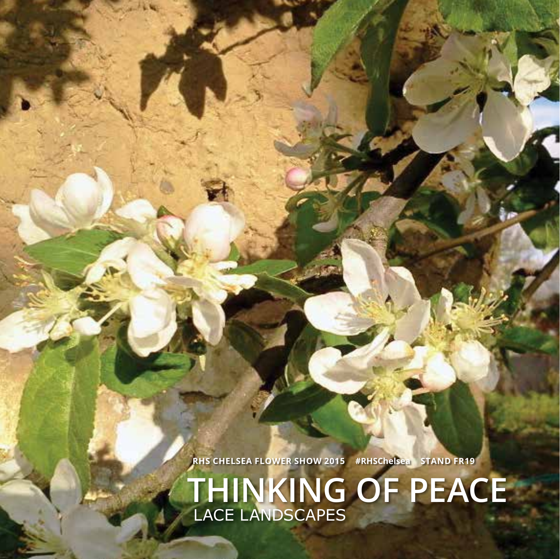**RHS CHELSEA FLOWER SHOW 2015 #RHSChelsea STAND FR19**

**THINKING OF PEACE** LACE LANDSCAPES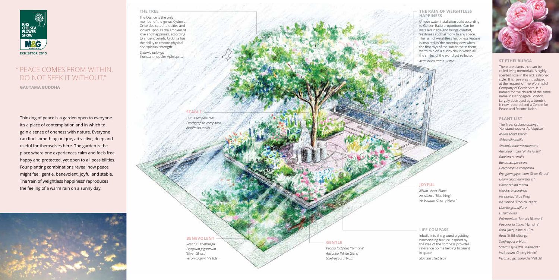Thinking of peace is a garden open to everyone. It's a place of contemplation and in which to gain a sense of oneness with nature. Everyone can find something unique, attractive, deep and useful for themselves here. The garden is the place where one experiences calm and feels free, happy and protected, yet open to all possibilities. Four planting combinations reveal how peace might feel: gentle, benevolent, joyful and stable. The 'rain of weightless happiness' reproduces the feeling of a warm rain on a sunny day.



# **PLANT LIST**

The Tree: *Cydonia oblonga* 'Konstantinopeler Apfelquitte' *Allium* 'Mont Blanc' *Alchemilla mollis Amsonia tabernaemontana Astrantia major* 'White Giant' *Baptista australis Buxus sempervirens Deschampsia caespitosa Eryngium giganteum* 'Silver Ghost' *Geum coccineum* 'Borisii' *Hakonechloa macra Heuchera cylindrica Iris sibirica* 'Blue King' *Iris sibirica* 'Tropical Night' *Libertia grandiflora Luzula nivea Polemonium* 'Sonia's Bluebell' *Paeonia lactiflora* 'Nymphe' *Rosa* 'Jacqueline du Pre' *Rosa* 'St Ethelburga' *Saxifraga x urbium Salvia x sylvestris* 'Mainacht ' *Verbascum* 'Cherry Helen'

*Veronica gentianoides* 'Pallida'

**Gautama Buddha**

# " Peace comes from within. Do not seek it without."

## **St Ethelburga**

There are plants that can be called living memorials. A highly scented rose in the old fashioned style. This rose was introduced at the request of The Worshipful Company of Gardeners. It is named for the church of the same name in Bishopsgate London. Largely destroyed by a bomb it is now restored and a Centre for Peace and Reconciliation.

### **The rain of weightless happiness**

Unique water installation build according to Golden Ratio proportions. Can be installed inside and brings comfort, freshness and harmony to any space. The rain of weightless happiness feature is inspired by the morning dew when the first rays of the sun bathe in them, warm rain on a sunny day in which all the smiles of the world get reflected.

*Aluminium frame, water*



### **Life compass**

Inbuild into the ground a guiding harmonising feature inspired by the idea of the compass provides reference points helping to orient in space.

*Stainless steel, teak*



### **The tree**

The Quince is the only member of the genus Cydonia. Once dedicated to deities and looked upon as the emblem of love and happiness, according to ancient beliefs, Cydonia has the ability to restore physical and spiritual strength. *Cydonia oblonga*  'Konstantinopeler Apfelquitte'

### **Gentle**

| Peonia lactiflora 'Nymphe' |  |
|----------------------------|--|
| Astrantia 'White Giant'    |  |
| Saxifraga x urbium         |  |

# **Joyful**

*Allium* 'Mont Blanc' *Iris sibirica* 'Blue King" *Verbascum* 'Cherry Helen'

**Benevolent** *Rosa* 'St Ethelburga' *Eryngium giganteum*  'Silver Ghost' *Veronica gent.* 'Pallida'

**Stable**

*Buxus sempervirens Deschampsia caespitosa Alchemilla mollis*